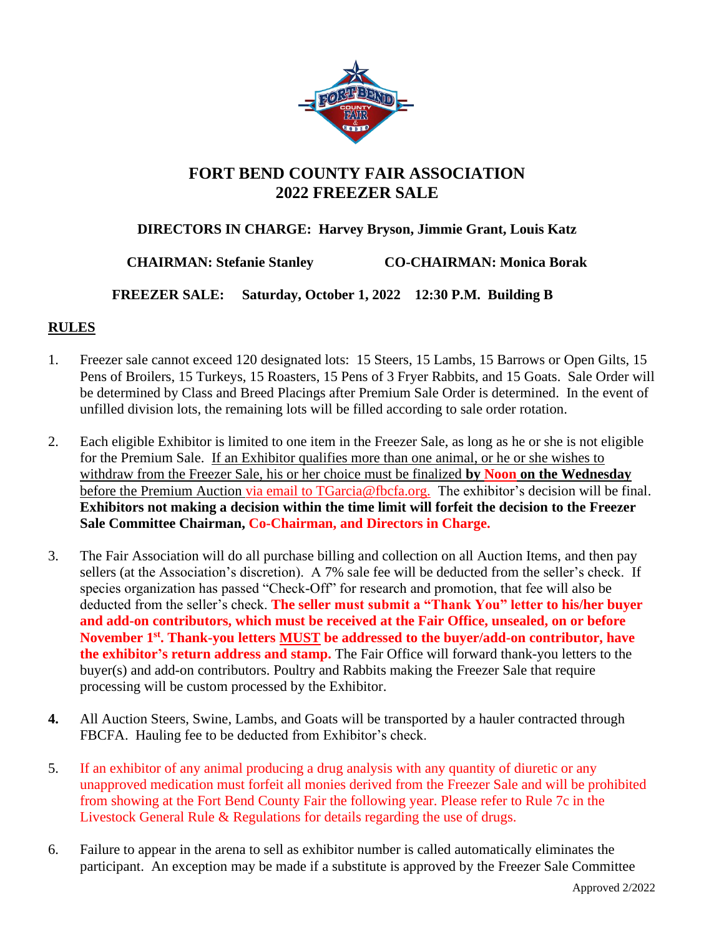

## **FORT BEND COUNTY FAIR ASSOCIATION 2022 FREEZER SALE**

## **DIRECTORS IN CHARGE: Harvey Bryson, Jimmie Grant, Louis Katz**

**CHAIRMAN: Stefanie Stanley CO-CHAIRMAN: Monica Borak**

 **FREEZER SALE: Saturday, October 1, 2022 12:30 P.M. Building B**

## **RULES**

- 1. Freezer sale cannot exceed 120 designated lots: 15 Steers, 15 Lambs, 15 Barrows or Open Gilts, 15 Pens of Broilers, 15 Turkeys, 15 Roasters, 15 Pens of 3 Fryer Rabbits, and 15 Goats. Sale Order will be determined by Class and Breed Placings after Premium Sale Order is determined. In the event of unfilled division lots, the remaining lots will be filled according to sale order rotation.
- 2. Each eligible Exhibitor is limited to one item in the Freezer Sale, as long as he or she is not eligible for the Premium Sale. If an Exhibitor qualifies more than one animal, or he or she wishes to withdraw from the Freezer Sale, his or her choice must be finalized **by Noon on the Wednesday** before the Premium Auction via email to TGarcia@fbcfa.org. The exhibitor's decision will be final. **Exhibitors not making a decision within the time limit will forfeit the decision to the Freezer Sale Committee Chairman, Co-Chairman, and Directors in Charge.**
- 3. The Fair Association will do all purchase billing and collection on all Auction Items, and then pay sellers (at the Association's discretion). A 7% sale fee will be deducted from the seller's check. If species organization has passed "Check-Off" for research and promotion, that fee will also be deducted from the seller's check. **The seller must submit a "Thank You" letter to his/her buyer and add-on contributors, which must be received at the Fair Office, unsealed, on or before November 1 st . Thank-you letters MUST be addressed to the buyer/add-on contributor, have the exhibitor's return address and stamp.** The Fair Office will forward thank-you letters to the buyer(s) and add-on contributors. Poultry and Rabbits making the Freezer Sale that require processing will be custom processed by the Exhibitor.
- **4.** All Auction Steers, Swine, Lambs, and Goats will be transported by a hauler contracted through FBCFA. Hauling fee to be deducted from Exhibitor's check.
- 5. If an exhibitor of any animal producing a drug analysis with any quantity of diuretic or any unapproved medication must forfeit all monies derived from the Freezer Sale and will be prohibited from showing at the Fort Bend County Fair the following year. Please refer to Rule 7c in the Livestock General Rule & Regulations for details regarding the use of drugs.
- 6. Failure to appear in the arena to sell as exhibitor number is called automatically eliminates the participant. An exception may be made if a substitute is approved by the Freezer Sale Committee